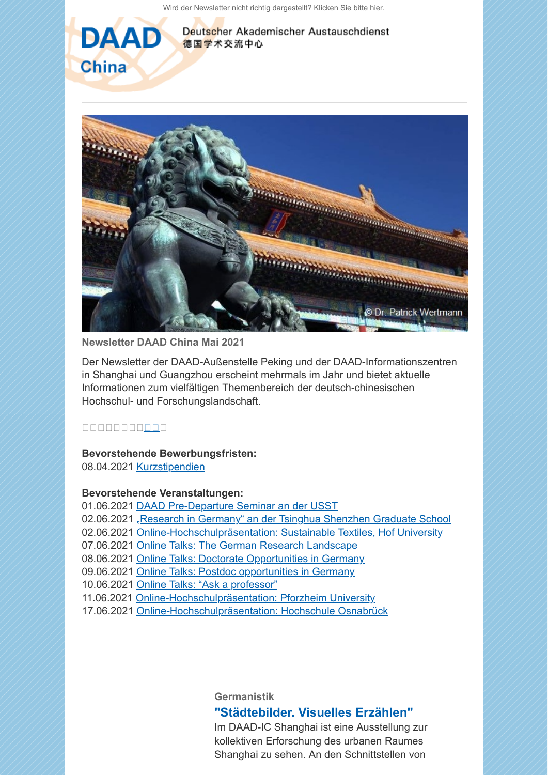[Wird der Newsletter nicht richtig dargestellt? Klicken Sie bitte hier.](https://scnem.com/a.php?sid=fdjb4.1mb5irc,f=1,n=fdjb4.1mb5irc,l=r5a83y.8or2sc)

德国学术交流中心

Deutscher Akademischer Austauschdienst





**Newsletter DAAD China Mai 2021**

Der Newsletter der DAAD-Außenstelle Peking und der DAAD-Informationszentren in Shanghai und Guangzhou erscheint mehrmals im Jahr und bietet aktuelle Informationen zum vielfältigen Themenbereich der deutsch-chinesischen Hochschul- und Forschungslandschaft.

00000000000

## **Bevorstehende Bewerbungsfristen:**

08.04.2021 [Kurzstipendien](https://scnem.com/goto.php?l=r5a83a.24ean18,u=8ccc717101048a39,n=fdjb4.1mb5irc,art_id=fdjb5.1c0hp84)

## **Bevorstehende Veranstaltungen:**

- 01.06.2021 [DAAD Pre-Departure Seminar an der USST](https://scnem.com/goto.php?l=r5a83b.t82d48,u=8ccc717101048a39,n=fdjb4.1mb5irc,art_id=fdjb5.1c0hp84)
- 02.06.2021 ["Research in Germany" an der Tsinghua Shenzhen Graduate School](https://scnem.com/goto.php?l=r5a83c.108m0lb,u=8ccc717101048a39,n=fdjb4.1mb5irc,art_id=fdjb5.1c0hp84)
- 02.06.2021 [Online-Hochschulpräsentation: Sustainable Textiles, Hof University](https://scnem.com/goto.php?l=r5a83d.2432lhl,u=8ccc717101048a39,n=fdjb4.1mb5irc,art_id=fdjb5.1c0hp84)
- 07.06.2021 [Online Talks: The German Research Landscape](https://scnem.com/goto.php?l=r5a83e.1a51jeb,u=8ccc717101048a39,n=fdjb4.1mb5irc,art_id=fdjb5.1c0hp84)
- 08.06.2021 [Online Talks: Doctorate Opportunities in Germany](https://scnem.com/goto.php?l=r5a83f.1n864q9,u=8ccc717101048a39,n=fdjb4.1mb5irc,art_id=fdjb5.1c0hp84)
- 09.06.2021 [Online Talks: Postdoc opportunities in Germany](https://scnem.com/goto.php?l=r5a83g.10pni5k,u=8ccc717101048a39,n=fdjb4.1mb5irc,art_id=fdjb5.1c0hp84)
- 10.06.2021 [Online Talks: "Ask a professor"](https://scnem.com/goto.php?l=r5a83h.239foha,u=8ccc717101048a39,n=fdjb4.1mb5irc,art_id=fdjb5.1c0hp84)
- 11.06.2021 [Online-Hochschulpräsentation: Pforzheim University](https://scnem.com/goto.php?l=r5a83i.1c8sg66,u=8ccc717101048a39,n=fdjb4.1mb5irc,art_id=fdjb5.1c0hp84)
- 17.06.2021 [Online-Hochschulpräsentation: Hochschule Osnabrück](https://scnem.com/goto.php?l=r5a83j.1l89ab2,u=8ccc717101048a39,n=fdjb4.1mb5irc,art_id=fdjb5.1c0hp84)

**Germanistik**

## **["Städtebilder. Visuelles Erzählen"](https://scnem.com/a.php?sid=fdjb4.1mb5irc,f=6,n=fdjb4.1mb5irc,artref=9329707,l=r5a83k.pgkqpd)**

Im DAAD-IC Shanghai ist eine Ausstellung zur kollektiven Erforschung des urbanen Raumes Shanghai zu sehen. An den Schnittstellen von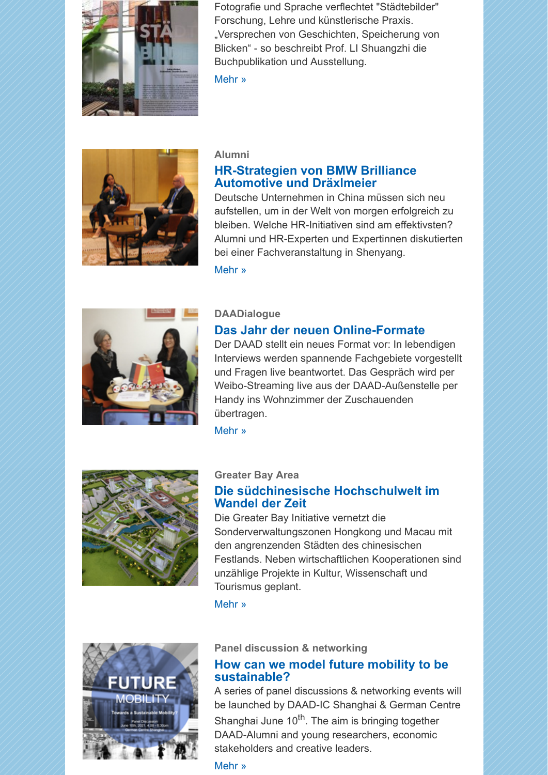

Fotografie und Sprache verflechtet "Städtebilder" Forschung, Lehre und künstlerische Praxis. "Versprechen von Geschichten, Speicherung von Blicken" - so beschreibt Prof. LI Shuangzhi die Buchpublikation und Ausstellung.

[Mehr »](https://scnem.com/a.php?sid=fdjb4.1mb5irc,f=6,n=fdjb4.1mb5irc,artref=9329707,l=r5a83k.pgkqpd)



## **Alumni [HR-Strategien von BMW Brilliance](https://scnem.com/a.php?sid=fdjb4.1mb5irc,f=6,n=fdjb4.1mb5irc,artref=9329708,l=r5a83l.1qikj7n) Automotive und Dräxlmeier**

Deutsche Unternehmen in China müssen sich neu aufstellen, um in der Welt von morgen erfolgreich zu bleiben. Welche HR-Initiativen sind am effektivsten? Alumni und HR-Experten und Expertinnen diskutierten bei einer Fachveranstaltung in Shenyang.

[Mehr »](https://scnem.com/a.php?sid=fdjb4.1mb5irc,f=6,n=fdjb4.1mb5irc,artref=9329708,l=r5a83l.1qikj7n)



## **DAADialogue**

# **[Das Jahr der neuen Online-Formate](https://scnem.com/a.php?sid=fdjb4.1mb5irc,f=6,n=fdjb4.1mb5irc,artref=9329709,l=r5a83m.151g8cq)**

Der DAAD stellt ein neues Format vor: In lebendigen Interviews werden spannende Fachgebiete vorgestellt und Fragen live beantwortet. Das Gespräch wird per Weibo-Streaming live aus der DAAD-Außenstelle per Handy ins Wohnzimmer der Zuschauenden übertragen.

[Mehr »](https://scnem.com/a.php?sid=fdjb4.1mb5irc,f=6,n=fdjb4.1mb5irc,artref=9329709,l=r5a83m.151g8cq)



## **Greater Bay Area**

# **[Die südchinesische Hochschulwelt im](https://scnem.com/a.php?sid=fdjb4.1mb5irc,f=6,n=fdjb4.1mb5irc,artref=9329712,l=r5a83n.1i4tqha) Wandel der Zeit**

Die Greater Bay Initiative vernetzt die Sonderverwaltungszonen Hongkong und Macau mit den angrenzenden Städten des chinesischen Festlands. Neben wirtschaftlichen Kooperationen sind unzählige Projekte in Kultur, Wissenschaft und Tourismus geplant.

[Mehr »](https://scnem.com/a.php?sid=fdjb4.1mb5irc,f=6,n=fdjb4.1mb5irc,artref=9329712,l=r5a83n.1i4tqha)



## **Panel discussion & networking**

# **[How can we model future mobility to be](https://scnem.com/a.php?sid=fdjb4.1mb5irc,f=6,n=fdjb4.1mb5irc,artref=9329711,l=r5a83o.o97bcm) sustainable?**

A series of panel discussions & networking events will be launched by DAAD-IC Shanghai & German Centre Shanghai June  $10<sup>th</sup>$ . The aim is bringing together DAAD-Alumni and young researchers, economic stakeholders and creative leaders.

### [Mehr »](https://scnem.com/a.php?sid=fdjb4.1mb5irc,f=6,n=fdjb4.1mb5irc,artref=9329711,l=r5a83o.o97bcm)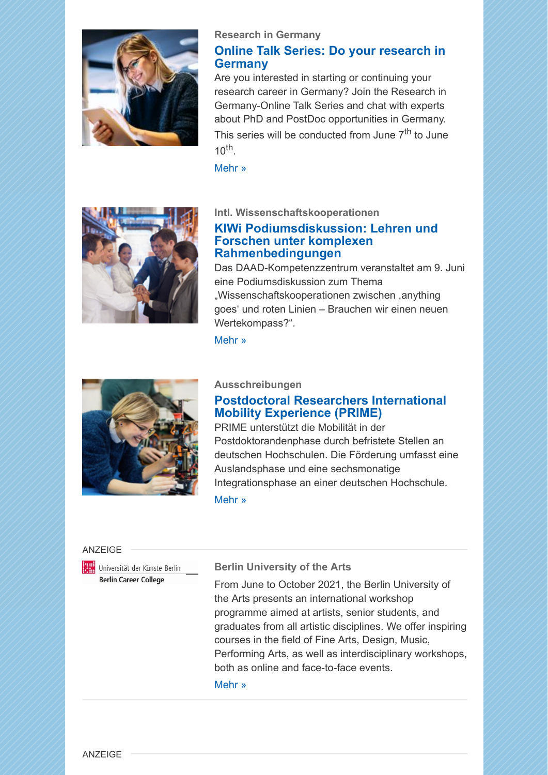

#### **Research in Germany**

# **[Online Talk Series: Do your research in](https://scnem.com/a.php?sid=fdjb4.1mb5irc,f=6,n=fdjb4.1mb5irc,artref=9329710,l=r5a83p.1s3r5kg) Germany**

Are you interested in starting or continuing your research career in Germany? Join the Research in Germany-Online Talk Series and chat with experts about PhD and PostDoc opportunities in Germany. This series will be conducted from June  $7<sup>th</sup>$  to June  $10^{th}$ .

[Mehr »](https://scnem.com/a.php?sid=fdjb4.1mb5irc,f=6,n=fdjb4.1mb5irc,artref=9329710,l=r5a83p.1s3r5kg)



**Intl. Wissenschaftskooperationen**

## **[KIWi Podiumsdiskussion: Lehren und](https://scnem.com/a.php?sid=fdjb4.1mb5irc,f=6,n=fdjb4.1mb5irc,artref=9329713,l=r5a83q.171e99n) Forschen unter komplexen Rahmenbedingungen**

Das DAAD-Kompetenzzentrum veranstaltet am 9. Juni eine Podiumsdiskussion zum Thema "Wissenschaftskooperationen zwischen ,anything goes' und roten Linien – Brauchen wir einen neuen Wertekompass?".

## [Mehr »](https://scnem.com/a.php?sid=fdjb4.1mb5irc,f=6,n=fdjb4.1mb5irc,artref=9329713,l=r5a83q.171e99n)



### **Ausschreibungen**

# **[Postdoctoral Researchers International](https://scnem.com/a.php?sid=fdjb4.1mb5irc,f=6,n=fdjb4.1mb5irc,artref=9329714,l=r5a83r.1g14699) Mobility Experience (PRIME)**

PRIME unterstützt die Mobilität in der Postdoktorandenphase durch befristete Stellen an deutschen Hochschulen. Die Förderung umfasst eine Auslandsphase und eine sechsmonatige Integrationsphase an einer deutschen Hochschule. [Mehr »](https://scnem.com/a.php?sid=fdjb4.1mb5irc,f=6,n=fdjb4.1mb5irc,artref=9329714,l=r5a83r.1g14699)

#### ANZEIGE



#### **Berlin University of the Arts**

From June to October 2021, the Berlin University of the Arts presents an international workshop programme aimed at artists, senior students, and graduates from all artistic disciplines. We offer inspiring courses in the field of Fine Arts, Design, Music, Performing Arts, as well as interdisciplinary workshops, both as online and face-to-face events.

[Mehr »](https://scnem.com/a.php?sid=fdjb4.1mb5irc,f=6,n=fdjb4.1mb5irc,artref=9329702,l=r5a83s.p2per1)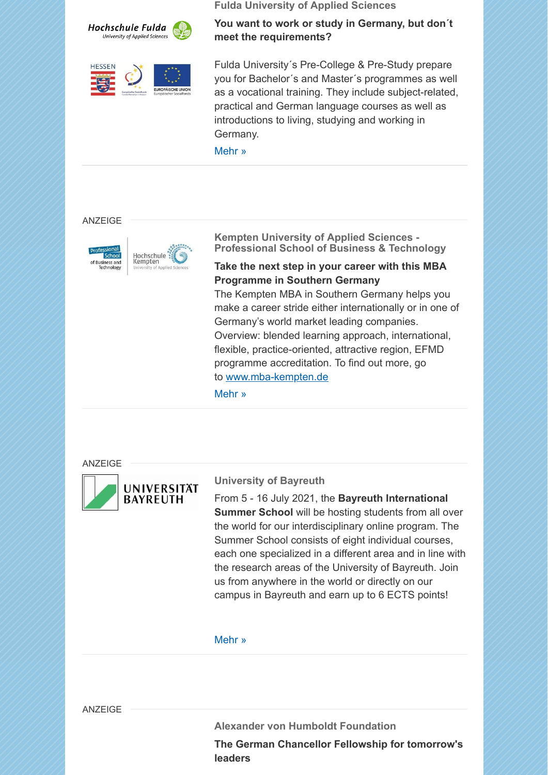



**Fulda University of Applied Sciences**

**You want to work or study in Germany, but don´t meet the requirements?**

Fulda University´s Pre-College & Pre-Study prepare you for Bachelor´s and Master´s programmes as well as a vocational training. They include subject-related, practical and German language courses as well as introductions to living, studying and working in Germany.

[Mehr »](https://scnem.com/a.php?sid=fdjb4.1mb5irc,f=6,n=fdjb4.1mb5irc,artref=9329703,l=r5a83t.1rgqoi1)

#### **ANZEIGE**



**Kempten University of Applied Sciences - Professional School of Business & Technology**

### **Take the next step in your career with this MBA Programme in Southern Germany**

The Kempten MBA in Southern Germany helps you make a career stride either internationally or in one of Germany's world market leading companies. Overview: blended learning approach, international, flexible, practice-oriented, attractive region, EFMD programme accreditation. To find out more, go to [www.mba-kempten.de](https://scnem.com/goto.php?l=r5a83v.1lpbo6a,u=8ccc717101048a39,n=fdjb4.1mb5irc,art_id=fdjbu.2c5bmsl)

[Mehr »](https://scnem.com/a.php?sid=fdjb4.1mb5irc,f=6,n=fdjb4.1mb5irc,artref=9329704,l=r5a83u.1bf88a8)

ANZEIGE



## **University of Bayreuth**

From 5 - 16 July 2021, the **Bayreuth International Summer School** will be hosting students from all over the world for our interdisciplinary online program. The Summer School consists of eight individual courses, each one specialized in a different area and in line with the research areas of the University of Bayreuth. Join us from anywhere in the world or directly on our campus in Bayreuth and earn up to 6 ECTS points!

#### [Mehr »](https://scnem.com/a.php?sid=fdjb4.1mb5irc,f=6,n=fdjb4.1mb5irc,artref=9329705,l=r5a83w.k5ed20)

ANZEIGE

**Alexander von Humboldt Foundation**

**The German Chancellor Fellowship for tomorrow's leaders**